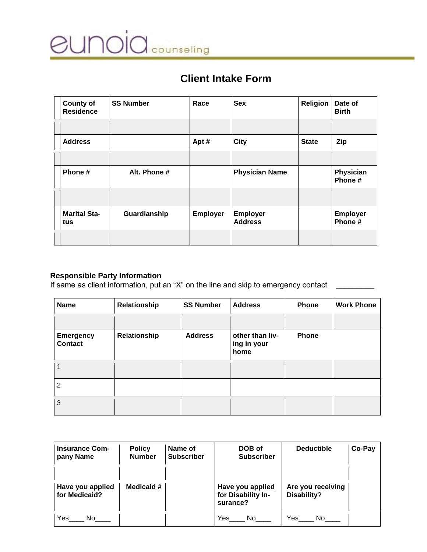

# **Client Intake Form**

| <b>County of</b><br><b>Residence</b> | <b>SS Number</b> | Race            | <b>Sex</b>                        | <b>Religion</b> | Date of<br><b>Birth</b>    |
|--------------------------------------|------------------|-----------------|-----------------------------------|-----------------|----------------------------|
|                                      |                  |                 |                                   |                 |                            |
| <b>Address</b>                       |                  | Apt #           | <b>City</b>                       | <b>State</b>    | <b>Zip</b>                 |
|                                      |                  |                 |                                   |                 |                            |
| Phone#                               | Alt. Phone #     |                 | <b>Physician Name</b>             |                 | Physician<br>Phone #       |
|                                      |                  |                 |                                   |                 |                            |
| <b>Marital Sta-</b><br>tus           | Guardianship     | <b>Employer</b> | <b>Employer</b><br><b>Address</b> |                 | <b>Employer</b><br>Phone # |
|                                      |                  |                 |                                   |                 |                            |

#### **Responsible Party Information**

If same as client information, put an "X" on the line and skip to emergency contact \_\_\_\_\_\_\_\_\_

| <b>Name</b>                        | Relationship | <b>SS Number</b> | <b>Address</b>                         | <b>Phone</b> | <b>Work Phone</b> |
|------------------------------------|--------------|------------------|----------------------------------------|--------------|-------------------|
|                                    |              |                  |                                        |              |                   |
| <b>Emergency</b><br><b>Contact</b> | Relationship | <b>Address</b>   | other than liv-<br>ing in your<br>home | <b>Phone</b> |                   |
|                                    |              |                  |                                        |              |                   |
| 2                                  |              |                  |                                        |              |                   |
| 3                                  |              |                  |                                        |              |                   |

| <b>Insurance Com-</b><br>pany Name | <b>Policy</b><br><b>Number</b> | Name of<br><b>Subscriber</b> | DOB of<br><b>Subscriber</b>                        | <b>Deductible</b>                | Co-Pay |
|------------------------------------|--------------------------------|------------------------------|----------------------------------------------------|----------------------------------|--------|
| Have you applied<br>for Medicaid?  | Medicaid #                     |                              | Have you applied<br>for Disability In-<br>surance? | Are you receiving<br>Disability? |        |
| Yes<br>No.                         |                                |                              | Yes<br>No.                                         | Yes<br>No.                       |        |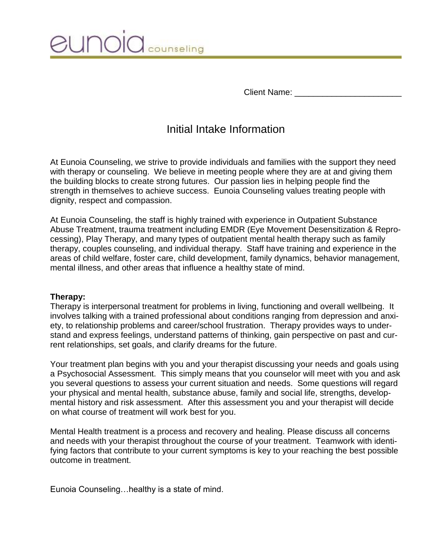

Client Name:

# Initial Intake Information

At Eunoia Counseling, we strive to provide individuals and families with the support they need with therapy or counseling. We believe in meeting people where they are at and giving them the building blocks to create strong futures. Our passion lies in helping people find the strength in themselves to achieve success. Eunoia Counseling values treating people with dignity, respect and compassion.

At Eunoia Counseling, the staff is highly trained with experience in Outpatient Substance Abuse Treatment, trauma treatment including EMDR (Eye Movement Desensitization & Reprocessing), Play Therapy, and many types of outpatient mental health therapy such as family therapy, couples counseling, and individual therapy. Staff have training and experience in the areas of child welfare, foster care, child development, family dynamics, behavior management, mental illness, and other areas that influence a healthy state of mind.

## **Therapy:**

Therapy is interpersonal treatment for problems in living, functioning and overall wellbeing. It involves talking with a trained professional about conditions ranging from depression and anxiety, to relationship problems and career/school frustration. Therapy provides ways to understand and express feelings, understand patterns of thinking, gain perspective on past and current relationships, set goals, and clarify dreams for the future.

Your treatment plan begins with you and your therapist discussing your needs and goals using a Psychosocial Assessment. This simply means that you counselor will meet with you and ask you several questions to assess your current situation and needs. Some questions will regard your physical and mental health, substance abuse, family and social life, strengths, developmental history and risk assessment. After this assessment you and your therapist will decide on what course of treatment will work best for you.

Mental Health treatment is a process and recovery and healing. Please discuss all concerns and needs with your therapist throughout the course of your treatment. Teamwork with identifying factors that contribute to your current symptoms is key to your reaching the best possible outcome in treatment.

Eunoia Counseling…healthy is a state of mind.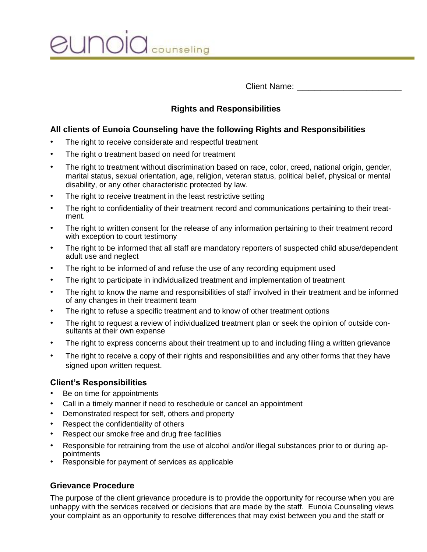unoic counseling

Client Name:

## **Rights and Responsibilities**

## **All clients of Eunoia Counseling have the following Rights and Responsibilities**

- The right to receive considerate and respectful treatment
- The right o treatment based on need for treatment
- The right to treatment without discrimination based on race, color, creed, national origin, gender, marital status, sexual orientation, age, religion, veteran status, political belief, physical or mental disability, or any other characteristic protected by law.
- The right to receive treatment in the least restrictive setting
- The right to confidentiality of their treatment record and communications pertaining to their treatment.
- The right to written consent for the release of any information pertaining to their treatment record with exception to court testimony
- The right to be informed that all staff are mandatory reporters of suspected child abuse/dependent adult use and neglect
- The right to be informed of and refuse the use of any recording equipment used
- The right to participate in individualized treatment and implementation of treatment
- The right to know the name and responsibilities of staff involved in their treatment and be informed of any changes in their treatment team
- The right to refuse a specific treatment and to know of other treatment options
- The right to request a review of individualized treatment plan or seek the opinion of outside consultants at their own expense
- The right to express concerns about their treatment up to and including filing a written grievance
- The right to receive a copy of their rights and responsibilities and any other forms that they have signed upon written request.

## **Client's Responsibilities**

- Be on time for appointments
- Call in a timely manner if need to reschedule or cancel an appointment
- Demonstrated respect for self, others and property
- Respect the confidentiality of others
- Respect our smoke free and drug free facilities
- Responsible for retraining from the use of alcohol and/or illegal substances prior to or during appointments
- Responsible for payment of services as applicable

## **Grievance Procedure**

The purpose of the client grievance procedure is to provide the opportunity for recourse when you are unhappy with the services received or decisions that are made by the staff. Eunoia Counseling views your complaint as an opportunity to resolve differences that may exist between you and the staff or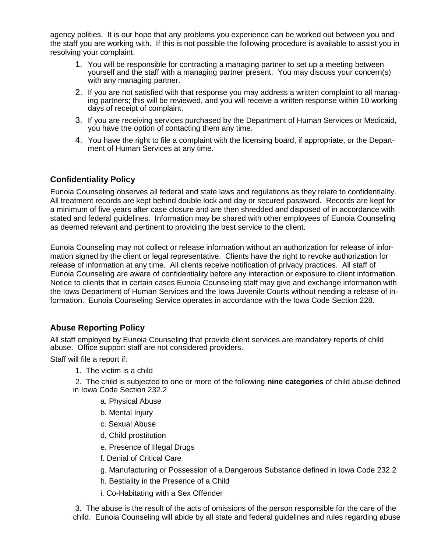agency polities. It is our hope that any problems you experience can be worked out between you and the staff you are working with. If this is not possible the following procedure is available to assist you in resolving your complaint.

- 1. You will be responsible for contracting a managing partner to set up a meeting between yourself and the staff with a managing partner present. You may discuss your concern(s) with any managing partner.
- 2. If you are not satisfied with that response you may address a written complaint to all managing partners; this will be reviewed, and you will receive a written response within 10 working days of receipt of complaint.
- 3. If you are receiving services purchased by the Department of Human Services or Medicaid, you have the option of contacting them any time.
- 4. You have the right to file a complaint with the licensing board, if appropriate, or the Department of Human Services at any time.

### **Confidentiality Policy**

Eunoia Counseling observes all federal and state laws and regulations as they relate to confidentiality. All treatment records are kept behind double lock and day or secured password. Records are kept for a minimum of five years after case closure and are then shredded and disposed of in accordance with stated and federal guidelines. Information may be shared with other employees of Eunoia Counseling as deemed relevant and pertinent to providing the best service to the client.

Eunoia Counseling may not collect or release information without an authorization for release of information signed by the client or legal representative. Clients have the right to revoke authorization for release of information at any time. All clients receive notification of privacy practices. All staff of Eunoia Counseling are aware of confidentiality before any interaction or exposure to client information. Notice to clients that in certain cases Eunoia Counseling staff may give and exchange information with the Iowa Department of Human Services and the Iowa Juvenile Courts without needing a release of information. Eunoia Counseling Service operates in accordance with the Iowa Code Section 228.

## **Abuse Reporting Policy**

All staff employed by Eunoia Counseling that provide client services are mandatory reports of child abuse. Office support staff are not considered providers.

Staff will file a report if:

- 1. The victim is a child
- 2. The child is subjected to one or more of the following **nine categories** of child abuse defined in Iowa Code Section 232.2
	- a. Physical Abuse
	- b. Mental Injury
	- c. Sexual Abuse
	- d. Child prostitution
	- e. Presence of Illegal Drugs
	- f. Denial of Critical Care
	- g. Manufacturing or Possession of a Dangerous Substance defined in Iowa Code 232.2
	- h. Bestiality in the Presence of a Child
	- i. Co-Habitating with a Sex Offender

3. The abuse is the result of the acts of omissions of the person responsible for the care of the child. Eunoia Counseling will abide by all state and federal guidelines and rules regarding abuse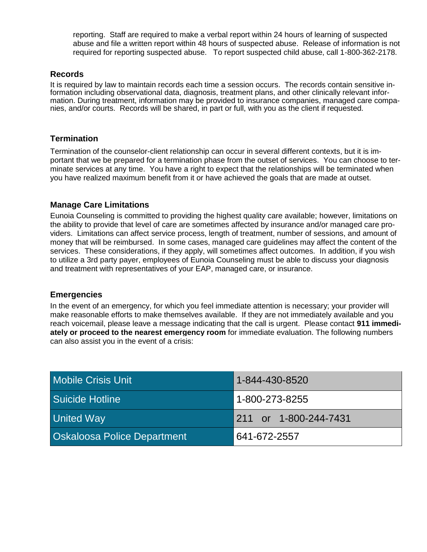reporting. Staff are required to make a verbal report within 24 hours of learning of suspected abuse and file a written report within 48 hours of suspected abuse. Release of information is not required for reporting suspected abuse. To report suspected child abuse, call 1-800-362-2178.

### **Records**

It is required by law to maintain records each time a session occurs. The records contain sensitive information including observational data, diagnosis, treatment plans, and other clinically relevant information. During treatment, information may be provided to insurance companies, managed care companies, and/or courts. Records will be shared, in part or full, with you as the client if requested.

#### **Termination**

Termination of the counselor-client relationship can occur in several different contexts, but it is important that we be prepared for a termination phase from the outset of services. You can choose to terminate services at any time. You have a right to expect that the relationships will be terminated when you have realized maximum benefit from it or have achieved the goals that are made at outset.

## **Manage Care Limitations**

Eunoia Counseling is committed to providing the highest quality care available; however, limitations on the ability to provide that level of care are sometimes affected by insurance and/or managed care providers. Limitations can affect service process, length of treatment, number of sessions, and amount of money that will be reimbursed. In some cases, managed care guidelines may affect the content of the services. These considerations, if they apply, will sometimes affect outcomes. In addition, if you wish to utilize a 3rd party payer, employees of Eunoia Counseling must be able to discuss your diagnosis and treatment with representatives of your EAP, managed care, or insurance.

#### **Emergencies**

In the event of an emergency, for which you feel immediate attention is necessary; your provider will make reasonable efforts to make themselves available. If they are not immediately available and you reach voicemail, please leave a message indicating that the call is urgent. Please contact **911 immediately or proceed to the nearest emergency room** for immediate evaluation. The following numbers can also assist you in the event of a crisis:

| Mobile Crisis Unit                 | 1-844-430-8520        |
|------------------------------------|-----------------------|
| Suicide Hotline                    | 1-800-273-8255        |
| <b>United Way</b>                  | 211 or 1-800-244-7431 |
| <b>Oskaloosa Police Department</b> | 641-672-2557          |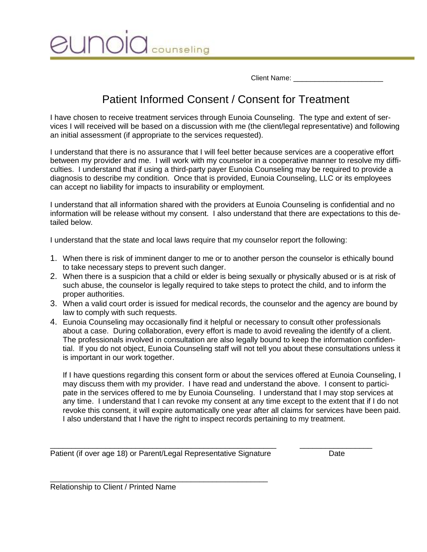Client Name:

# Patient Informed Consent / Consent for Treatment

counseling

I have chosen to receive treatment services through Eunoia Counseling. The type and extent of services I will received will be based on a discussion with me (the client/legal representative) and following an initial assessment (if appropriate to the services requested).

I understand that there is no assurance that I will feel better because services are a cooperative effort between my provider and me. I will work with my counselor in a cooperative manner to resolve my difficulties. I understand that if using a third-party payer Eunoia Counseling may be required to provide a diagnosis to describe my condition. Once that is provided, Eunoia Counseling, LLC or its employees can accept no liability for impacts to insurability or employment.

I understand that all information shared with the providers at Eunoia Counseling is confidential and no information will be release without my consent. I also understand that there are expectations to this detailed below.

I understand that the state and local laws require that my counselor report the following:

- 1. When there is risk of imminent danger to me or to another person the counselor is ethically bound to take necessary steps to prevent such danger.
- 2. When there is a suspicion that a child or elder is being sexually or physically abused or is at risk of such abuse, the counselor is legally required to take steps to protect the child, and to inform the proper authorities.
- 3. When a valid court order is issued for medical records, the counselor and the agency are bound by law to comply with such requests.
- 4. Eunoia Counseling may occasionally find it helpful or necessary to consult other professionals about a case. During collaboration, every effort is made to avoid revealing the identify of a client. The professionals involved in consultation are also legally bound to keep the information confidential. If you do not object, Eunoia Counseling staff will not tell you about these consultations unless it is important in our work together.

If I have questions regarding this consent form or about the services offered at Eunoia Counseling, I may discuss them with my provider. I have read and understand the above. I consent to participate in the services offered to me by Eunoia Counseling. I understand that I may stop services at any time. I understand that I can revoke my consent at any time except to the extent that if I do not revoke this consent, it will expire automatically one year after all claims for services have been paid. I also understand that I have the right to inspect records pertaining to my treatment.

\_\_\_\_\_\_\_\_\_\_\_\_\_\_\_\_\_\_\_\_\_\_\_\_\_\_\_\_\_\_\_\_\_\_\_\_\_\_\_\_\_\_\_\_\_\_\_\_\_\_\_\_\_ \_\_\_\_\_\_\_\_\_\_\_\_\_\_\_\_\_

Patient (if over age 18) or Parent/Legal Representative Signature Date

\_\_\_\_\_\_\_\_\_\_\_\_\_\_\_\_\_\_\_\_\_\_\_\_\_\_\_\_\_\_\_\_\_\_\_\_\_\_\_\_\_\_\_\_\_\_\_\_\_\_\_

Relationship to Client / Printed Name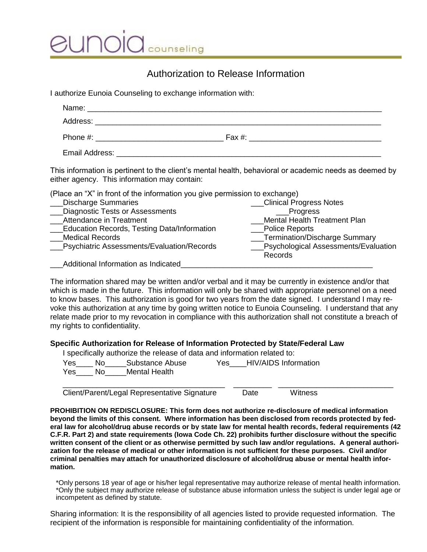counseling

# Authorization to Release Information

I authorize Eunoia Counseling to exchange information with:

| This information is pertinent to the client's mental health, behavioral or academic needs as deemed by<br>either agency. This information may contain: |                                                                  |
|--------------------------------------------------------------------------------------------------------------------------------------------------------|------------------------------------------------------------------|
| (Place an "X" in front of the information you give permission to exchange)                                                                             |                                                                  |
| <b>Discharge Summaries</b>                                                                                                                             | <b>Clinical Progress Notes</b>                                   |
| Diagnostic Tests or Assessments                                                                                                                        | ___Progress                                                      |
| Attendance in Treatment                                                                                                                                | <b>Mental Health Treatment Plan</b>                              |
| <b>Education Records, Testing Data/Information</b>                                                                                                     | Police Reports                                                   |
| <b>Medical Records</b>                                                                                                                                 | ___Termination/Discharge Summary                                 |
| Psychiatric Assessments/Evaluation/Records                                                                                                             | <b>Example 3</b> Psychological Assessments/Evaluation<br>Records |
| Additional Information as Indicated                                                                                                                    |                                                                  |

The information shared may be written and/or verbal and it may be currently in existence and/or that which is made in the future. This information will only be shared with appropriate personnel on a need to know bases. This authorization is good for two years from the date signed. I understand I may revoke this authorization at any time by going written notice to Eunoia Counseling. I understand that any relate made prior to my revocation in compliance with this authorization shall not constitute a breach of my rights to confidentiality.

#### **Specific Authorization for Release of Information Protected by State/Federal Law**

| I specifically authorize the release of data and information related to: |     |                 |      |                      |  |
|--------------------------------------------------------------------------|-----|-----------------|------|----------------------|--|
| Yes                                                                      | No. | Substance Abuse | Yes. | HIV/AIDS Information |  |
| Yes                                                                      | No. | Mental Health   |      |                      |  |
|                                                                          |     |                 |      |                      |  |

Client/Parent/Legal Representative Signature Date Witness

**PROHIBITION ON REDISCLOSURE: This form does not authorize re-disclosure of medical information beyond the limits of this consent. Where information has been disclosed from records protected by federal law for alcohol/drug abuse records or by state law for mental health records, federal requirements (42 C.F.R. Part 2) and state requirements (Iowa Code Ch. 22) prohibits further disclosure without the specific written consent of the client or as otherwise permitted by such law and/or regulations. A general authorization for the release of medical or other information is not sufficient for these purposes. Civil and/or criminal penalties may attach for unauthorized disclosure of alcohol/drug abuse or mental health information.**

\*Only persons 18 year of age or his/her legal representative may authorize release of mental health information. \*Only the subject may authorize release of substance abuse information unless the subject is under legal age or incompetent as defined by statute.

Sharing information: It is the responsibility of all agencies listed to provide requested information. The recipient of the information is responsible for maintaining confidentiality of the information.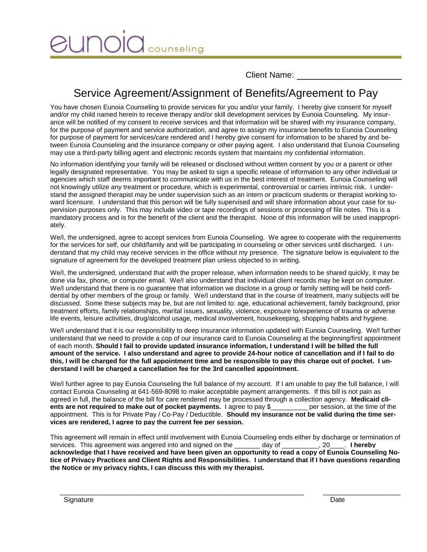JNOK counseling

Client Name:

# Service Agreement/Assignment of Benefits/Agreement to Pay

You have chosen Eunoia Counseling to provide services for you and/or your family. I hereby give consent for myself and/or my child named herein to receive therapy and/or skill development services by Eunoia Counseling. My insurance will be notified of my consent to receive services and that information will be shared with my insurance company, for the purpose of payment and service authorization, and agree to assign my insurance benefits to Eunoia Counseling for purpose of payment for services/care rendered and I hereby give consent for information to be shared by and between Eunoia Counseling and the insurance company or other paying agent. I also understand that Eunoia Counseling may use a third-party billing agent and electronic records system that maintains my confidential information.

No information identifying your family will be released or disclosed without written consent by you or a parent or other legally designated representative. You may be asked to sign a specific release of information to any other individual or agencies which staff deems important to communicate with us in the best interest of treatment. Eunoia Counseling will not knowingly utilize any treatment or procedure, which is experimental, controversial or carries intrinsic risk. I understand the assigned therapist may be under supervision such as an intern or practicum students or therapist working toward licensure. I understand that this person will be fully supervised and will share information about your case for supervision purposes only. This may include video or tape recordings of sessions or processing of file notes. This is a mandatory process and is for the benefit of the client and the therapist. None of this information will be used inappropriately.

We/I, the undersigned, agree to accept services from Eunoia Counseling. We agree to cooperate with the requirements for the services for self, our child/family and will be participating in counseling or other services until discharged. I understand that my child may receive services in the office without my presence. The signature below is equivalent to the signature of agreement for the developed treatment plan unless objected to in writing.

We/I, the undersigned, understand that with the proper release, when information needs to be shared quickly, it may be done via fax, phone, or computer email. We/I also understand that individual client records may be kept on computer. We/I understand that there is no guarantee that information we disclose in a group or family setting will be held confidential by other members of the group or family. We/I understand that in the course of treatment, many subjects will be discussed. Some these subjects may be, but are not limited to: age, educational achievement, family background, prior treatment efforts, family relationships, marital issues, sexuality, violence, exposure to/experience of trauma or adverse life events, leisure activities, drug/alcohol usage, medical involvement, housekeeping, shopping habits and hygiene.

We/I understand that it is our responsibility to deep insurance information updated with Eunoia Counseling. We/I further understand that we need to provide a cop of our insurance card to Eunoia Counseling at the beginning/first appointment of each month. **Should I fail to provide updated insurance information, I understand I will be billed the full amount of the service. I also understand and agree to provide 24-hour notice of cancellation and if I fail to do this, I will be charged for the full appointment time and be responsible to pay this charge out of pocket. I understand I will be charged a cancellation fee for the 3rd cancelled appointment.** 

We/I further agree to pay Eunoia Counseling the full balance of my account. If I am unable to pay the full balance, I will contact Eunoia Counseling at 641-569-8098 to make acceptable payment arrangements. If this bill is not pain as agreed in full, the balance of the bill for care rendered may be processed through a collection agency. **Medicaid clients are not required to make out of pocket payments.** I agree to pay \$\_\_\_\_\_\_\_\_\_ per session, at the time of the appointment. This is for Private Pay / Co-Pay / Deductible. **Should my insurance not be valid during the time services are rendered, I agree to pay the current fee per session.**

This agreement will remain in effect until involvement with Eunoia Counseling ends either by discharge or termination of services. This agreement was angered into and signed on the \_\_\_\_\_\_\_ day of \_\_\_\_\_\_\_\_, 20\_\_\_\_. **I hereby acknowledge that I have received and have been given an opportunity to read a copy of Eunoia Counseling Notice of Privacy Practices and Client Rights and Responsibilities. I understand that if I have questions regarding the Notice or my privacy rights, I can discuss this with my therapist.** 

 $\overline{\phantom{a}}$  ,  $\overline{\phantom{a}}$  ,  $\overline{\phantom{a}}$  ,  $\overline{\phantom{a}}$  ,  $\overline{\phantom{a}}$  ,  $\overline{\phantom{a}}$  ,  $\overline{\phantom{a}}$  ,  $\overline{\phantom{a}}$  ,  $\overline{\phantom{a}}$  ,  $\overline{\phantom{a}}$  ,  $\overline{\phantom{a}}$  ,  $\overline{\phantom{a}}$  ,  $\overline{\phantom{a}}$  ,  $\overline{\phantom{a}}$  ,  $\overline{\phantom{a}}$  ,  $\overline{\phantom{a}}$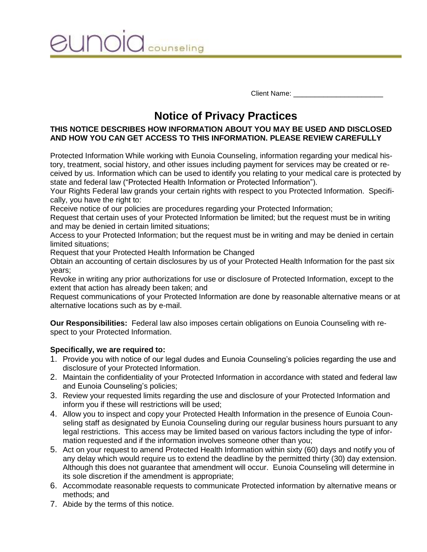**UNOIO** counseling

Client Name: **With a Client** Name:

# **Notice of Privacy Practices**

## **THIS NOTICE DESCRIBES HOW INFORMATION ABOUT YOU MAY BE USED AND DISCLOSED AND HOW YOU CAN GET ACCESS TO THIS INFORMATION. PLEASE REVIEW CAREFULLY**

Protected Information While working with Eunoia Counseling, information regarding your medical history, treatment, social history, and other issues including payment for services may be created or received by us. Information which can be used to identify you relating to your medical care is protected by state and federal law ("Protected Health Information or Protected Information").

Your Rights Federal law grands your certain rights with respect to you Protected Information. Specifically, you have the right to:

Receive notice of our policies are procedures regarding your Protected Information;

Request that certain uses of your Protected Information be limited; but the request must be in writing and may be denied in certain limited situations;

Access to your Protected Information; but the request must be in writing and may be denied in certain limited situations;

Request that your Protected Health Information be Changed

Obtain an accounting of certain disclosures by us of your Protected Health Information for the past six years;

Revoke in writing any prior authorizations for use or disclosure of Protected Information, except to the extent that action has already been taken; and

Request communications of your Protected Information are done by reasonable alternative means or at alternative locations such as by e-mail.

**Our Responsibilities:** Federal law also imposes certain obligations on Eunoia Counseling with respect to your Protected Information.

#### **Specifically, we are required to:**

- 1. Provide you with notice of our legal dudes and Eunoia Counseling's policies regarding the use and disclosure of your Protected Information.
- 2. Maintain the confidentiality of your Protected Information in accordance with stated and federal law and Eunoia Counseling's policies;
- 3. Review your requested limits regarding the use and disclosure of your Protected Information and inform you if these will restrictions will be used;
- 4. Allow you to inspect and copy your Protected Health Information in the presence of Eunoia Counseling staff as designated by Eunoia Counseling during our regular business hours pursuant to any legal restrictions. This access may be limited based on various factors including the type of information requested and if the information involves someone other than you;
- 5. Act on your request to amend Protected Health Information within sixty (60) days and notify you of any delay which would require us to extend the deadline by the permitted thirty (30) day extension. Although this does not guarantee that amendment will occur. Eunoia Counseling will determine in its sole discretion if the amendment is appropriate;
- 6. Accommodate reasonable requests to communicate Protected information by alternative means or methods; and
- 7. Abide by the terms of this notice.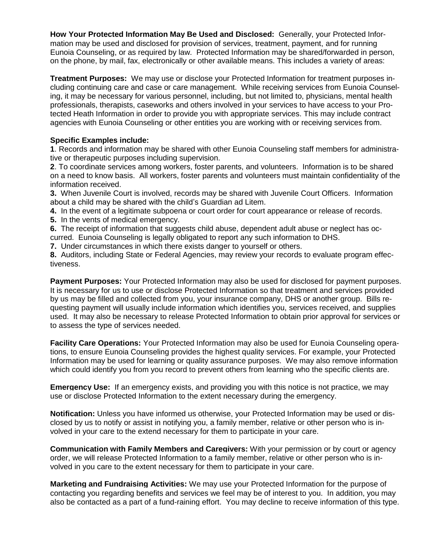**How Your Protected Information May Be Used and Disclosed:** Generally, your Protected Information may be used and disclosed for provision of services, treatment, payment, and for running Eunoia Counseling, or as required by law. Protected Information may be shared/forwarded in person, on the phone, by mail, fax, electronically or other available means. This includes a variety of areas:

**Treatment Purposes:** We may use or disclose your Protected Information for treatment purposes including continuing care and case or care management. While receiving services from Eunoia Counseling, it may be necessary for various personnel, including, but not limited to, physicians, mental health professionals, therapists, caseworks and others involved in your services to have access to your Protected Heath Information in order to provide you with appropriate services. This may include contract agencies with Eunoia Counseling or other entities you are working with or receiving services from.

#### **Specific Examples include:**

**1**. Records and information may be shared with other Eunoia Counseling staff members for administrative or therapeutic purposes including supervision.

**2**. To coordinate services among workers, foster parents, and volunteers. Information is to be shared on a need to know basis. All workers, foster parents and volunteers must maintain confidentiality of the information received.

**3.** When Juvenile Court is involved, records may be shared with Juvenile Court Officers. Information about a child may be shared with the child's Guardian ad Litem.

**4.** In the event of a legitimate subpoena or court order for court appearance or release of records.

**5.** In the vents of medical emergency.

**6.** The receipt of information that suggests child abuse, dependent adult abuse or neglect has oc-

curred. Eunoia Counseling is legally obligated to report any such information to DHS.

**7.** Under circumstances in which there exists danger to yourself or others.

**8.** Auditors, including State or Federal Agencies, may review your records to evaluate program effectiveness.

**Payment Purposes:** Your Protected Information may also be used for disclosed for payment purposes. It is necessary for us to use or disclose Protected Information so that treatment and services provided by us may be filled and collected from you, your insurance company, DHS or another group. Bills requesting payment will usually include information which identifies you, services received, and supplies used. It may also be necessary to release Protected Information to obtain prior approval for services or to assess the type of services needed.

**Facility Care Operations:** Your Protected Information may also be used for Eunoia Counseling operations, to ensure Eunoia Counseling provides the highest quality services. For example, your Protected Information may be used for learning or quality assurance purposes. We may also remove information which could identify you from you record to prevent others from learning who the specific clients are.

**Emergency Use:** If an emergency exists, and providing you with this notice is not practice, we may use or disclose Protected Information to the extent necessary during the emergency.

**Notification:** Unless you have informed us otherwise, your Protected Information may be used or disclosed by us to notify or assist in notifying you, a family member, relative or other person who is involved in your care to the extend necessary for them to participate in your care.

**Communication with Family Members and Caregivers:** With your permission or by court or agency order, we will release Protected Information to a family member, relative or other person who is involved in you care to the extent necessary for them to participate in your care.

**Marketing and Fundraising Activities:** We may use your Protected Information for the purpose of contacting you regarding benefits and services we feel may be of interest to you. In addition, you may also be contacted as a part of a fund-raining effort. You may decline to receive information of this type.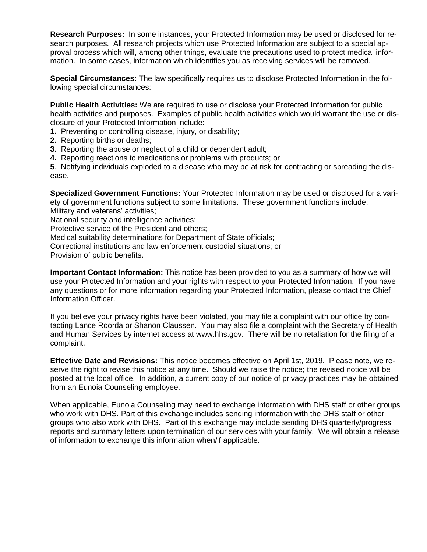**Research Purposes:** In some instances, your Protected Information may be used or disclosed for research purposes. All research projects which use Protected Information are subject to a special approval process which will, among other things, evaluate the precautions used to protect medical information. In some cases, information which identifies you as receiving services will be removed.

**Special Circumstances:** The law specifically requires us to disclose Protected Information in the following special circumstances:

**Public Health Activities:** We are required to use or disclose your Protected Information for public health activities and purposes. Examples of public health activities which would warrant the use or disclosure of your Protected Information include:

- **1.** Preventing or controlling disease, injury, or disability;
- **2.** Reporting births or deaths;
- **3.** Reporting the abuse or neglect of a child or dependent adult;
- **4.** Reporting reactions to medications or problems with products; or

**5**. Notifying individuals exploded to a disease who may be at risk for contracting or spreading the disease.

**Specialized Government Functions:** Your Protected Information may be used or disclosed for a variety of government functions subject to some limitations. These government functions include: Military and veterans' activities;

National security and intelligence activities;

Protective service of the President and others;

Medical suitability determinations for Department of State officials;

Correctional institutions and law enforcement custodial situations; or

Provision of public benefits.

**Important Contact Information:** This notice has been provided to you as a summary of how we will use your Protected Information and your rights with respect to your Protected Information. If you have any questions or for more information regarding your Protected Information, please contact the Chief Information Officer.

If you believe your privacy rights have been violated, you may file a complaint with our office by contacting Lance Roorda or Shanon Claussen. You may also file a complaint with the Secretary of Health and Human Services by internet access at www.hhs.gov. There will be no retaliation for the filing of a complaint.

**Effective Date and Revisions:** This notice becomes effective on April 1st, 2019. Please note, we reserve the right to revise this notice at any time. Should we raise the notice; the revised notice will be posted at the local office. In addition, a current copy of our notice of privacy practices may be obtained from an Eunoia Counseling employee.

When applicable, Eunoia Counseling may need to exchange information with DHS staff or other groups who work with DHS. Part of this exchange includes sending information with the DHS staff or other groups who also work with DHS. Part of this exchange may include sending DHS quarterly/progress reports and summary letters upon termination of our services with your family. We will obtain a release of information to exchange this information when/if applicable.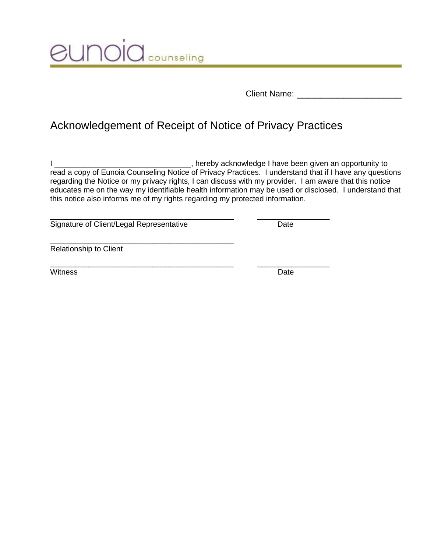**JUNOIC** COUNSeling

Client Name: \_\_\_\_\_\_\_\_\_\_\_\_\_\_\_\_\_\_

# Acknowledgement of Receipt of Notice of Privacy Practices

\_\_\_\_\_\_\_\_\_\_\_\_\_\_\_\_\_\_\_\_\_\_\_\_\_\_\_\_\_\_\_\_\_\_\_\_\_\_\_\_\_\_\_ \_\_\_\_\_\_\_\_\_\_\_\_\_\_\_\_\_

I \_\_\_\_\_\_\_\_\_\_\_\_\_\_\_\_\_\_\_\_\_\_\_\_\_\_\_\_\_\_\_\_, hereby acknowledge I have been given an opportunity to read a copy of Eunoia Counseling Notice of Privacy Practices. I understand that if I have any questions regarding the Notice or my privacy rights, I can discuss with my provider. I am aware that this notice educates me on the way my identifiable health information may be used or disclosed. I understand that this notice also informs me of my rights regarding my protected information.

Signature of Client/Legal Representative Date

\_\_\_\_\_\_\_\_\_\_\_\_\_\_\_\_\_\_\_\_\_\_\_\_\_\_\_\_\_\_\_\_\_\_\_\_\_\_\_\_\_\_\_

\_\_\_\_\_\_\_\_\_\_\_\_\_\_\_\_\_\_\_\_\_\_\_\_\_\_\_\_\_\_\_\_\_\_\_\_\_\_\_\_\_\_\_ \_\_\_\_\_\_\_\_\_\_\_\_\_\_\_\_\_

Relationship to Client

Witness Date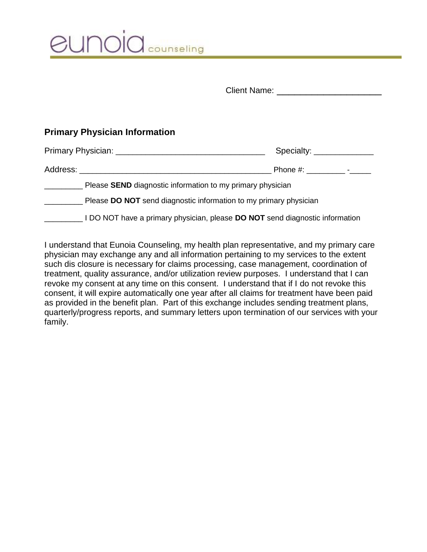| eunoid counseling |
|-------------------|
|                   |

| <b>Client Name:</b> |  |
|---------------------|--|
|                     |  |

# **Primary Physician Information**

| Specialty: _______________                                                   |  |  |  |
|------------------------------------------------------------------------------|--|--|--|
|                                                                              |  |  |  |
| Please SEND diagnostic information to my primary physician                   |  |  |  |
| Please <b>DO NOT</b> send diagnostic information to my primary physician     |  |  |  |
| I DO NOT have a primary physician, please DO NOT send diagnostic information |  |  |  |

I understand that Eunoia Counseling, my health plan representative, and my primary care physician may exchange any and all information pertaining to my services to the extent such dis closure is necessary for claims processing, case management, coordination of treatment, quality assurance, and/or utilization review purposes. I understand that I can revoke my consent at any time on this consent. I understand that if I do not revoke this consent, it will expire automatically one year after all claims for treatment have been paid as provided in the benefit plan. Part of this exchange includes sending treatment plans, quarterly/progress reports, and summary letters upon termination of our services with your family.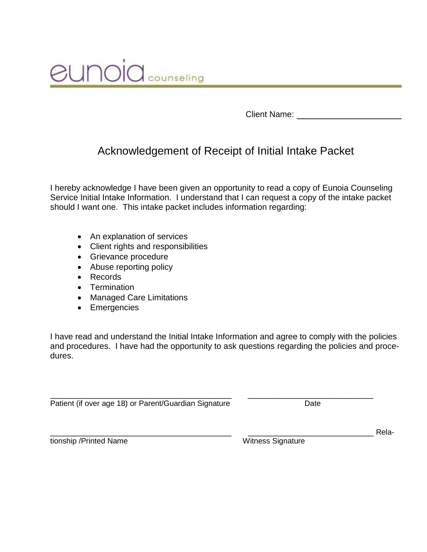

Client Name:

# Acknowledgement of Receipt of Initial Intake Packet

I hereby acknowledge I have been given an opportunity to read a copy of Eunoia Counseling Service Initial Intake Information. I understand that I can request a copy of the intake packet should I want one. This intake packet includes information regarding:

- An explanation of services
- Client rights and responsibilities
- Grievance procedure
- Abuse reporting policy
- Records
- Termination
- Managed Care Limitations
- Emergencies

I have read and understand the Initial Intake Information and agree to comply with the policies and procedures. I have had the opportunity to ask questions regarding the policies and procedures.

\_\_\_\_\_\_\_\_\_\_\_\_\_\_\_\_\_\_\_\_\_\_\_\_\_\_\_\_\_\_\_\_\_\_\_\_\_\_\_ \_\_\_\_\_\_\_\_\_\_\_\_\_\_\_\_\_\_\_\_\_\_\_\_\_\_\_ Patient (if over age 18) or Parent/Guardian Signature Date Date

tionship /Printed Name Witness Signature

\_\_\_\_\_\_\_\_\_\_\_\_\_\_\_\_\_\_\_\_\_\_\_\_\_\_\_\_\_\_\_\_\_\_\_\_\_\_\_ \_\_\_\_\_\_\_\_\_\_\_\_\_\_\_\_\_\_\_\_\_\_\_\_\_\_\_ Rela-